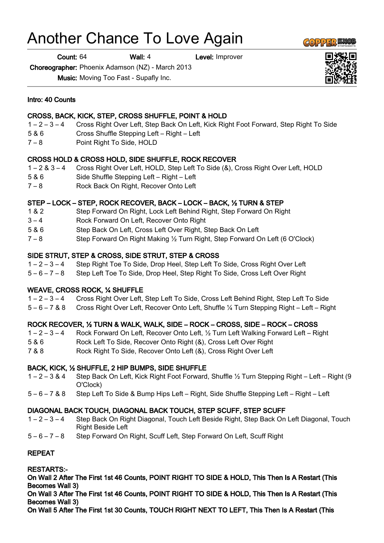# Another Chance To Love Again

Count: 64 Wall: 4 Level: Improver

Choreographer: Phoenix Adamson (NZ) - March 2013

Music: Moving Too Fast - Supafly Inc.

#### Intro: 40 Counts

## CROSS, BACK, KICK, STEP, CROSS SHUFFLE, POINT & HOLD

- 1 2 3 4 Cross Right Over Left, Step Back On Left, Kick Right Foot Forward, Step Right To Side
- 5 & 6 Cross Shuffle Stepping Left Right Left
- 7 8 Point Right To Side, HOLD

## CROSS HOLD & CROSS HOLD, SIDE SHUFFLE, ROCK RECOVER

- 1 2 & 3 4 Cross Right Over Left, HOLD, Step Left To Side (&), Cross Right Over Left, HOLD
- 5 & 6 Side Shuffle Stepping Left Right Left
- 7 8 Rock Back On Right, Recover Onto Left

## STEP – LOCK – STEP, ROCK RECOVER, BACK – LOCK – BACK, ½ TURN & STEP

- 1 & 2 Step Forward On Right, Lock Left Behind Right, Step Forward On Right
- 3 4 Rock Forward On Left, Recover Onto Right
- 5 & 6 Step Back On Left, Cross Left Over Right, Step Back On Left
- 7 8 Step Forward On Right Making ½ Turn Right, Step Forward On Left (6 O'Clock)

## SIDE STRUT, STEP & CROSS, SIDE STRUT, STEP & CROSS

1 – 2 – 3 – 4 Step Right Toe To Side, Drop Heel, Step Left To Side, Cross Right Over Left

5 – 6 – 7 – 8 Step Left Toe To Side, Drop Heel, Step Right To Side, Cross Left Over Right

# WEAVE, CROSS ROCK, ¼ SHUFFLE

- 1 2 3 4 Cross Right Over Left, Step Left To Side, Cross Left Behind Right, Step Left To Side
- 5 6 7 & 8 Cross Right Over Left, Recover Onto Left, Shuffle ¼ Turn Stepping Right Left Right

# ROCK RECOVER, ½ TURN & WALK, WALK, SIDE – ROCK – CROSS, SIDE – ROCK – CROSS

- 1 2 3 4 Rock Forward On Left, Recover Onto Left, ½ Turn Left Walking Forward Left Right
- 5 & 6 Rock Left To Side, Recover Onto Right (&), Cross Left Over Right
- 7 & 8 Rock Right To Side, Recover Onto Left (&), Cross Right Over Left

## BACK, KICK, ½ SHUFFLE, 2 HIP BUMPS, SIDE SHUFFLE

- 1 2 3 & 4 Step Back On Left, Kick Right Foot Forward, Shuffle ½ Turn Stepping Right Left Right (9 O'Clock)
- 5 6 7 & 8 Step Left To Side & Bump Hips Left Right, Side Shuffle Stepping Left Right Left

## DIAGONAL BACK TOUCH, DIAGONAL BACK TOUCH, STEP SCUFF, STEP SCUFF

- 1 2 3 4 Step Back On Right Diagonal, Touch Left Beside Right, Step Back On Left Diagonal, Touch Right Beside Left
- 5 6 7 8 Step Forward On Right, Scuff Left, Step Forward On Left, Scuff Right

## REPEAT

RESTARTS:-

On Wall 2 After The First 1st 46 Counts, POINT RIGHT TO SIDE & HOLD, This Then Is A Restart (This Becomes Wall 3)

On Wall 3 After The First 1st 46 Counts, POINT RIGHT TO SIDE & HOLD, This Then Is A Restart (This Becomes Wall 3)

On Wall 5 After The First 1st 30 Counts, TOUCH RIGHT NEXT TO LEFT, This Then Is A Restart (This